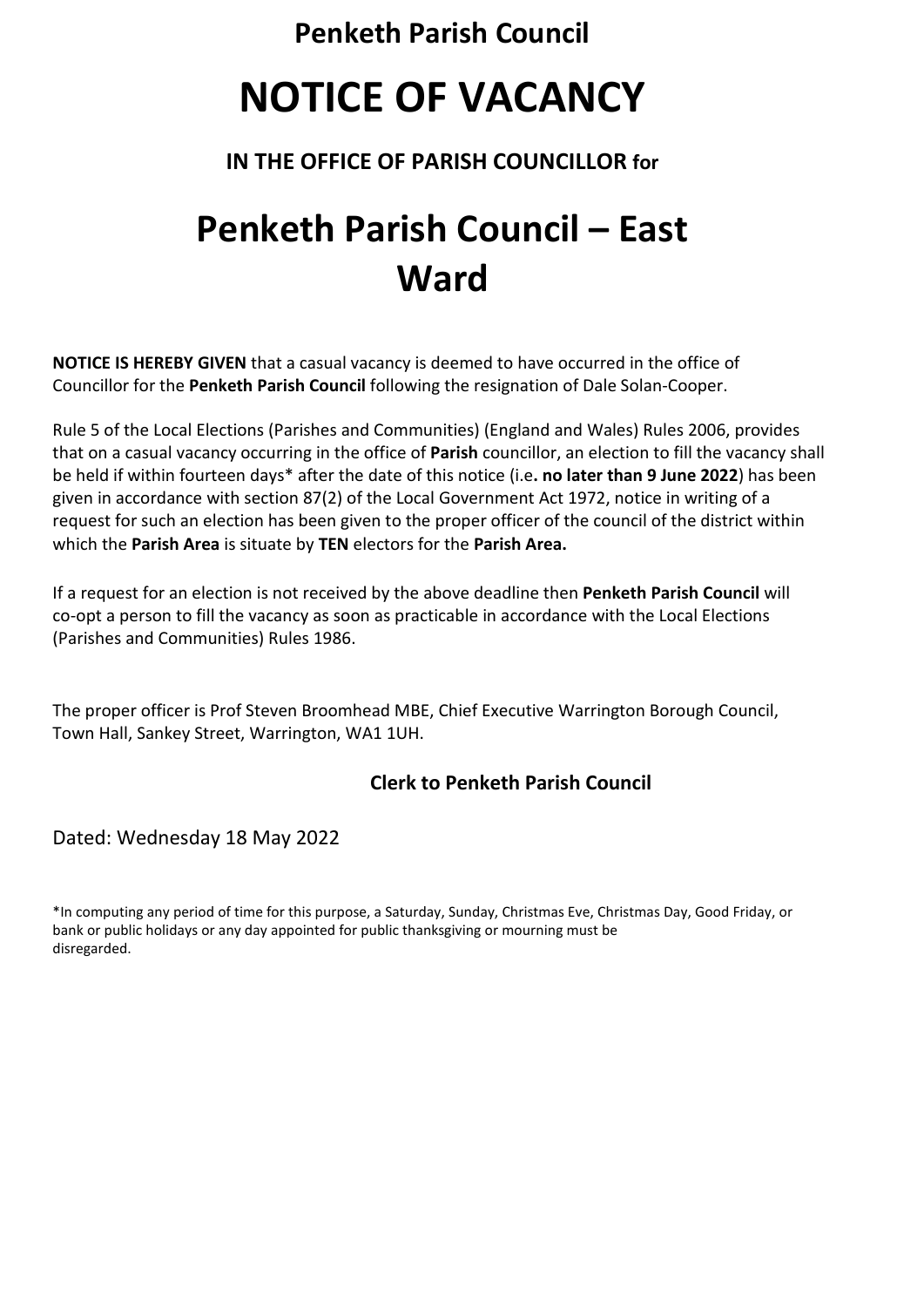**Penketh Parish Council**

# **NOTICE OF VACANCY**

### **IN THE OFFICE OF PARISH COUNCILLOR for**

## **Penketh Parish Council – East Ward**

**NOTICE IS HEREBY GIVEN** that a casual vacancy is deemed to have occurred in the office of Councillor for the **Penketh Parish Council** following the resignation of Dale Solan-Cooper.

Rule 5 of the Local Elections (Parishes and Communities) (England and Wales) Rules 2006, provides that on a casual vacancy occurring in the office of **Parish** councillor, an election to fill the vacancy shall be held if within fourteen days\* after the date of this notice (i.e**. no later than 9 June 2022**) has been given in accordance with section 87(2) of the Local Government Act 1972, notice in writing of a request for such an election has been given to the proper officer of the council of the district within which the **Parish Area** is situate by **TEN** electors for the **Parish Area.**

If a request for an election is not received by the above deadline then **Penketh Parish Council** will co-opt a person to fill the vacancy as soon as practicable in accordance with the Local Elections (Parishes and Communities) Rules 1986.

The proper officer is Prof Steven Broomhead MBE, Chief Executive Warrington Borough Council, Town Hall, Sankey Street, Warrington, WA1 1UH.

### **Clerk to Penketh Parish Council**

#### Dated: Wednesday 18 May 2022

\*In computing any period of time for this purpose, a Saturday, Sunday, Christmas Eve, Christmas Day, Good Friday, or bank or public holidays or any day appointed for public thanksgiving or mourning must be disregarded.